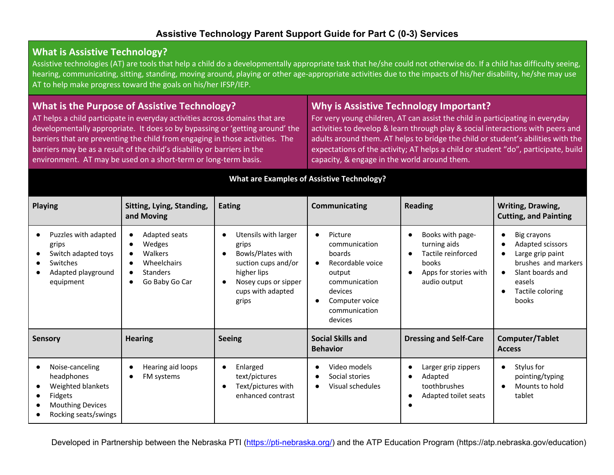## **What is Assistive Technology?**

● Mouthing Devices ● Rocking seats/swings

Assistive technologies (AT) are tools that help a child do a developmentally appropriate task that he/she could not otherwise do. If a child has difficulty seeing, hearing, communicating, sitting, standing, moving around, playing or other age-appropriate activities due to the impacts of his/her disability, he/she may use AT to help make progress toward the goals on his/her IFSP/IEP.

### **What is the Purpose of Assistive Technology?**

AT helps a child participate in everyday activities across domains that are developmentally appropriate. It does so by bypassing or 'getting around' the barriers that are preventing the child from engaging in those activities. The barriers may be as a result of the child's disability or barriers in the environment. AT may be used on a short-term or long-term basis.

#### **Why is Assistive Technology Important?**

●

For very young children, AT can assist the child in participating in everyday activities to develop & learn through play & social interactions with peers and adults around them. AT helps to bridge the child or student's abilities with the expectations of the activity; AT helps a child or student "do", participate, build capacity, & engage in the world around them.

#### **Playing Sitting, Lying, Standing, and Moving Eating Communicating Reading Writing, Drawing, Cutting, and Painting** ● Puzzles with adapted grips ● Switch adapted toys ● Switches ● Adapted playground equipment ● Adapted seats ● Wedges **Walkers** Wheelchairs ● Standers ● Go Baby Go Car ● Utensils with larger grips ● Bowls/Plates with suction cups and/or higher lips ● Nosey cups or sipper cups with adapted grips ● Picture communication boards ● Recordable voice output communication devices ● Computer voice communication devices ● Books with pageturning aids Tactile reinforced books Apps for stories with audio output ● Big crayons ● Adapted scissors ● Large grip paint brushes and markers ● Slant boards and easels Tactile coloring books **Sensory Hearing Seeing Social Skills and Social Skills and Seeing Social Skills and Behavior Dressing and Self-Care Computer/Tablet Access** ● Noise-canceling headphones ● Weighted blankets ● Fidgets ● Hearing aid loops ● FM systems ● Enlarged text/pictures ● Text/pictures with enhanced contrast ● Video models ● Social stories ● Visual schedules Larger grip zippers **Adapted** toothbrushes Adapted toilet seats ● Stylus for pointing/typing ● Mounts to hold tablet

**What are Examples of Assistive Technology?**

Developed in Partnership between the Nebraska PTI (https://pti-nebraska.org/) and the ATP Education Program (https://atp.nebraska.gov/education)